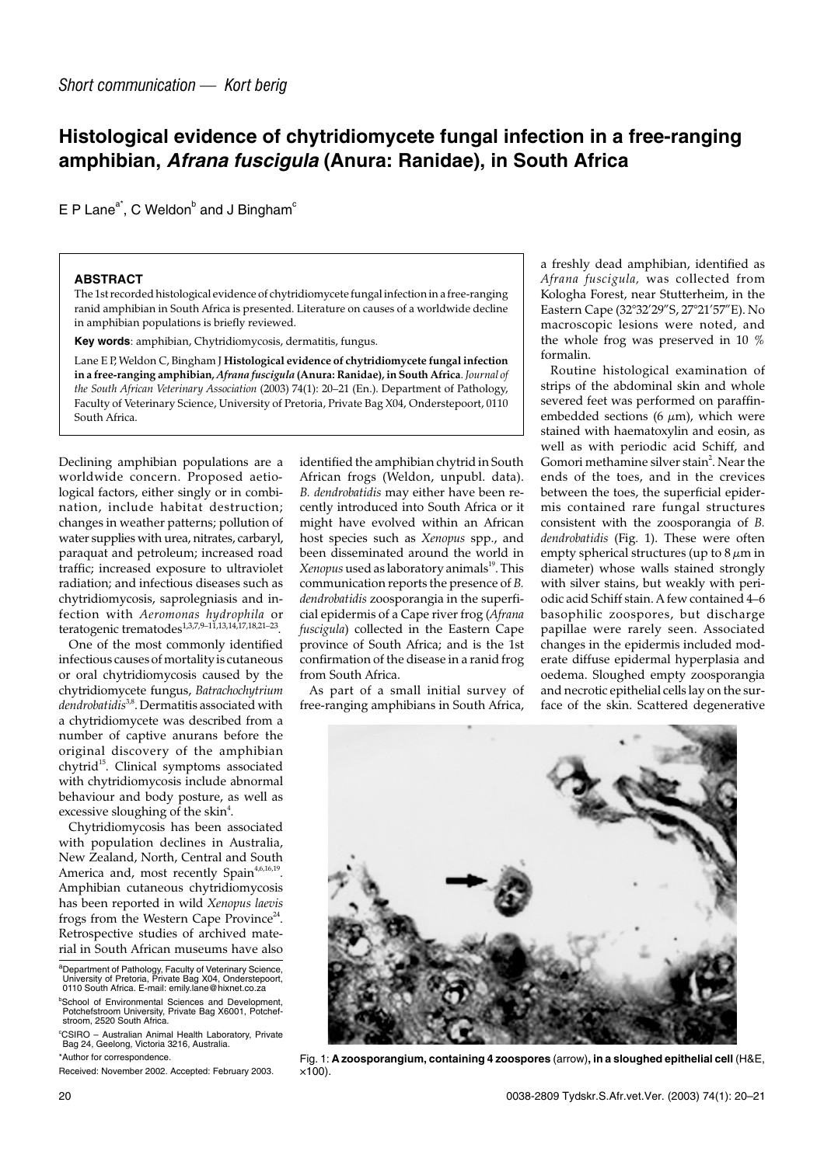## **Histological evidence of chytridiomycete fungal infection in a free-ranging amphibian, Afrana fuscigula (Anura: Ranidae), in South Africa**

 $E P$  Lane<sup>a\*</sup>, C Weldon<sup>b</sup> and J Bingham<sup>c</sup>

## **ABSTRACT**

The 1st recorded histological evidence of chytridiomycete fungal infection in a free-ranging ranid amphibian in South Africa is presented. Literature on causes of a worldwide decline in amphibian populations is briefly reviewed.

**Key words**: amphibian, Chytridiomycosis, dermatitis, fungus.

Lane E P, Weldon C, Bingham J **Histological evidence of chytridiomycete fungal infection in a free-ranging amphibian,** *Afrana fuscigula* **(Anura: Ranidae), in South Africa**. *Journal of the South African Veterinary Association* (2003) 74(1): 20–21 (En.). Department of Pathology, Faculty of Veterinary Science, University of Pretoria, Private Bag X04, Onderstepoort, 0110 South Africa.

Declining amphibian populations are a worldwide concern. Proposed aetiological factors, either singly or in combination, include habitat destruction; changes in weather patterns; pollution of water supplies with urea, nitrates, carbaryl, paraquat and petroleum; increased road traffic; increased exposure to ultraviolet radiation; and infectious diseases such as chytridiomycosis, saprolegniasis and infection with *Aeromonas hydrophila* or teratogenic trematodes<sup>1,3,7,9–11,13,14,17,18,21–23</sup>

One of the most commonly identified infectious causes of mortality is cutaneous or oral chytridiomycosis caused by the chytridiomycete fungus, *Batrachochytrium dendrobatidis*3,8. Dermatitis associated with a chytridiomycete was described from a number of captive anurans before the original discovery of the amphibian chytrid<sup>15</sup>. Clinical symptoms associated with chytridiomycosis include abnormal behaviour and body posture, as well as excessive sloughing of the skin<sup>4</sup>.

Chytridiomycosis has been associated with population declines in Australia, New Zealand, North, Central and South America and, most recently Spain<sup>4,6,16,19</sup>. Amphibian cutaneous chytridiomycosis has been reported in wild *Xenopus laevis* frogs from the Western Cape Province<sup>24</sup>. Retrospective studies of archived material in South African museums have also

aDepartment of Pathology, Faculty of Veterinary Science,<br>University of Pretoria, Private Bag X04, Onderstepoort,

\*Author for correspondence.

identified the amphibian chytrid in South African frogs (Weldon, unpubl. data). *B. dendrobatidis* may either have been recently introduced into South Africa or it might have evolved within an African host species such as *Xenopus* spp., and been disseminated around the world in *Xenopus* used as laboratory animals<sup>19</sup>. This communication reports the presence of *B. dendrobatidis* zoosporangia in the superficial epidermis of a Cape river frog (*Afrana fuscigula*) collected in the Eastern Cape province of South Africa; and is the 1st confirmation of the disease in a ranid frog from South Africa.

As part of a small initial survey of free-ranging amphibians in South Africa, a freshly dead amphibian, identified as *Afrana fuscigula,* was collected from Kologha Forest, near Stutterheim, in the Eastern Cape (32°32'29"S, 27°21'57"E). No macroscopic lesions were noted, and the whole frog was preserved in 10 % formalin.

Routine histological examination of strips of the abdominal skin and whole severed feet was performed on paraffinembedded sections (6  $\mu$ m), which were stained with haematoxylin and eosin, as well as with periodic acid Schiff, and Gomori methamine silver stain<sup>2</sup>. Near the ends of the toes, and in the crevices between the toes, the superficial epidermis contained rare fungal structures consistent with the zoosporangia of *B. dendrobatidis* (Fig. 1). These were often empty spherical structures (up to  $8 \mu m$  in diameter) whose walls stained strongly with silver stains, but weakly with periodic acid Schiff stain. A few contained 4–6 basophilic zoospores, but discharge papillae were rarely seen. Associated changes in the epidermis included moderate diffuse epidermal hyperplasia and oedema. Sloughed empty zoosporangia and necrotic epithelial cells lay on the surface of the skin. Scattered degenerative



Fig. 1: **A zoosporangium, containing 4 zoospores** (arrow)**, in a sloughed epithelial cell** (H&E,  $\times$ 100).

<sup>0110</sup> South Africa. E-mail: emily.lane@hixnet.co.za <sup>b</sup>School of Environmental Sciences and Development,

Potchefstroom University, Private Bag X6001, Potchefstroom, 2520 South Africa.

c CSIRO – Australian Animal Health Laboratory, Private Bag 24, Geelong, Victoria 3216, Australia.

Received: November 2002. Accepted: February 2003.